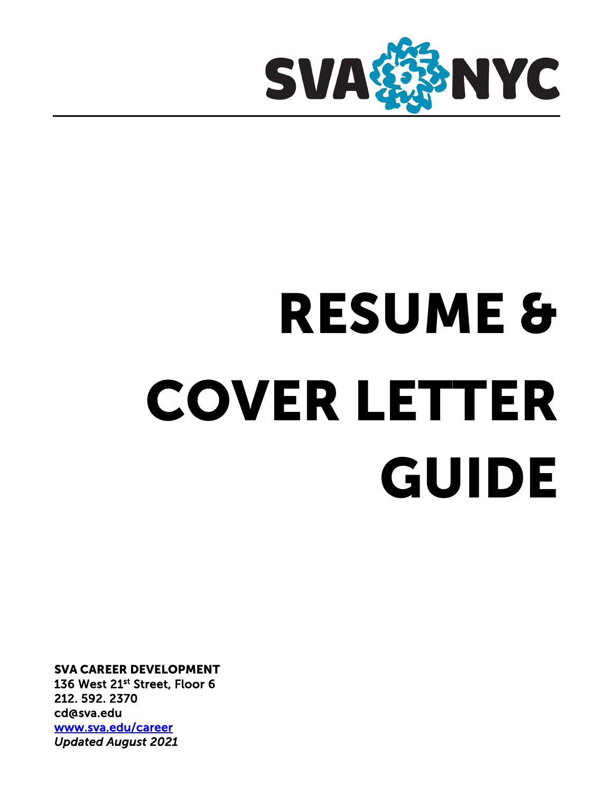

# RESUME & COVER LETTER GUIDE

SVA CAREER DEVELOPMENT 136 West 21st Street, Floor 6 212. 592. 2370 cd@sva.edu www.sva.edu/career *Updated August 2021*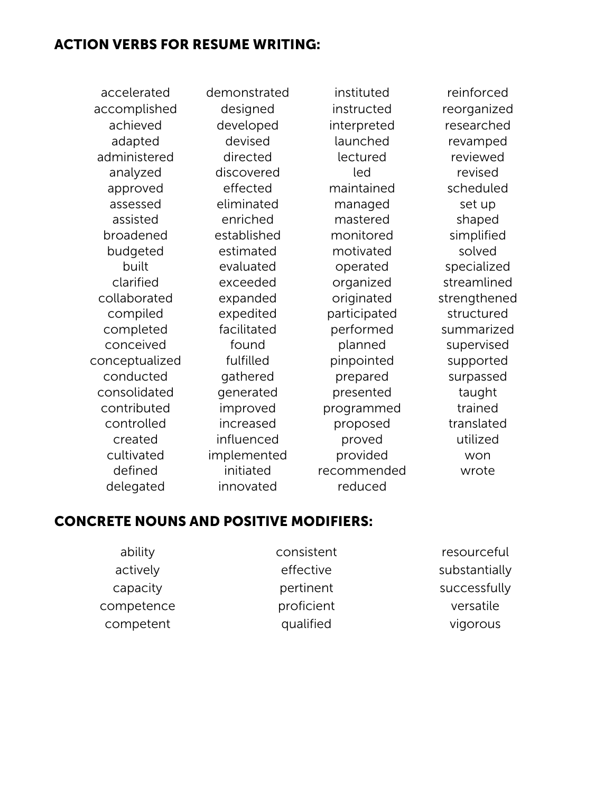#### ACTION VERBS FOR RESUME WRITING:

accomplished designed instructed reorganized administered directed lectured reviewed collaborated expanded originated strengthened conceptualized fulfilled pinpointed supported consolidated generated presented taught contributed improved programmed trained

accelerated demonstrated instituted reinforced achieved developed interpreted researched adapted devised launched revamped analyzed discovered led revised approved effected maintained scheduled assessed eliminated managed set up assisted enriched mastered shaped broadened established monitored simplified budgeted estimated motivated solved built evaluated operated specialized clarified exceeded organized streamlined compiled expedited participated structured completed facilitated performed summarized conceived found planned supervised conducted gathered prepared surpassed controlled increased proposed translated created influenced proved utilized cultivated implemented provided won defined initiated recommended wrote delegated innovated reduced

#### CONCRETE NOUNS AND POSITIVE MODIFIERS:

ability actively capacity competence competent

consistent effective pertinent proficient qualified

resourceful substantially successfully versatile vigorous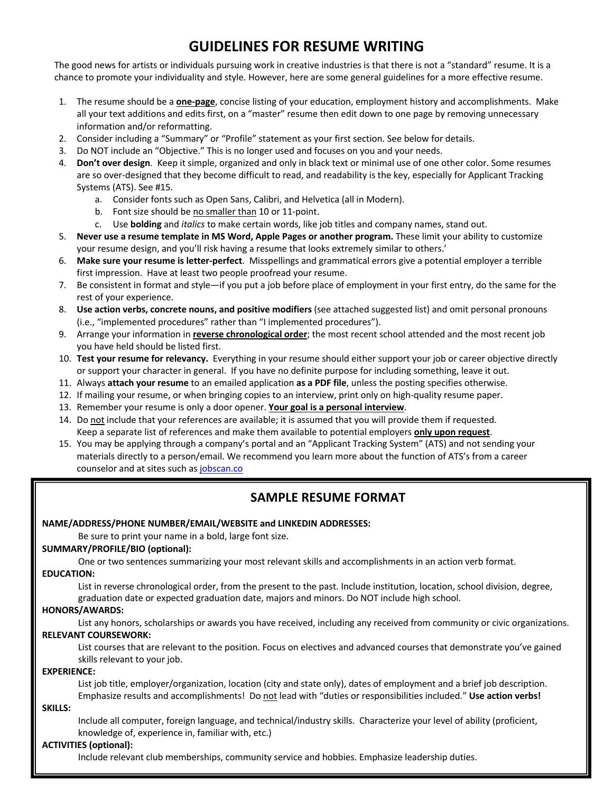## **GUIDELINES FOR RESUME WRITING**

The good news for artists or individuals pursuing work in creative industries is that there is not a "standard" resume. It is a chance to promote your individuality and style. However, here are some general guidelines for a more effective resume.

- 1. The resume should be a **one-page**, concise listing of your education, employment history and accomplishments. Make all your text additions and edits first, on a "master" resume then edit down to one page by removing unnecessary information and/or reformatting.
- 2. Consider including a "Summary" or "Profile" statement as your first section. See below for details.
- 3. Do NOT include an "Objective." This is no longer used and focuses on you and your needs.
- 4. **Don't over design**. Keep it simple, organized and only in black text or minimal use of one other color. Some resumes are so over-designed that they become difficult to read, and readability is the key, especially for Applicant Tracking Systems (ATS). See #15.
	- a. Consider fonts such as Open Sans, Calibri, and Helvetica (all in Modern).
	- b. Font size should be no smaller than 10 or 11-point.
	- c. Use **bolding** and *italics* to make certain words, like job titles and company names, stand out.
- 5. **Never use a resume template in MS Word, Apple Pages or another program.** These limit your ability to customize your resume design, and you'll risk having a resume that looks extremely similar to others.'
- 6. **Make sure your resume is letter-perfect**. Misspellings and grammatical errors give a potential employer a terrible first impression. Have at least two people proofread your resume.
- 7. Be consistent in format and style—if you put a job before place of employment in your first entry, do the same for the rest of your experience.
- 8. **Use action verbs, concrete nouns, and positive modifiers** (see attached suggested list) and omit personal pronouns (i.e., "implemented procedures" rather than "I implemented procedures").
- 9. Arrange your information in **reverse chronological order**; the most recent school attended and the most recent job you have held should be listed first.
- 10. **Test your resume for relevancy.** Everything in your resume should either support your job or career objective directly or support your character in general. If you have no definite purpose for including something, leave it out.
- 11. Always **attach your resume** to an emailed application **as a PDF file**, unless the posting specifies otherwise.
- 12. If mailing your resume, or when bringing copies to an interview, print only on high-quality resume paper.
- 13. Remember your resume is only a door opener. **Your goal is a personal interview**.
- 14. Do not include that your references are available; it is assumed that you will provide them if requested. Keep a separate list of references and make them available to potential employers **only upon request**.
- 15. You may be applying through a company's portal and an "Applicant Tracking System" (ATS) and not sending your materials directly to a person/email. We recommend you learn more about the function of ATS's from a career counselor and at sites such as jobscan.co

#### **SAMPLE RESUME FORMAT**

#### **NAME/ADDRESS/PHONE NUMBER/EMAIL/WEBSITE and LINKEDIN ADDRESSES:**

Be sure to print your name in a bold, large font size.

#### **SUMMARY/PROFILE/BIO (optional):**

One or two sentences summarizing your most relevant skills and accomplishments in an action verb format.

#### **EDUCATION:**

List in reverse chronological order, from the present to the past. Include institution, location, school division, degree, graduation date or expected graduation date, majors and minors. Do NOT include high school.

#### **HONORS/AWARDS:**

List any honors, scholarships or awards you have received, including any received from community or civic organizations. **RELEVANT COURSEWORK:**

List courses that are relevant to the position. Focus on electives and advanced courses that demonstrate you've gained skills relevant to your job.

#### **EXPERIENCE:**

List job title, employer/organization, location (city and state only), dates of employment and a brief job description. Emphasize results and accomplishments! Do not lead with "duties or responsibilities included." **Use action verbs!**

#### **SKILLS:**

Include all computer, foreign language, and technical/industry skills. Characterize your level of ability (proficient, knowledge of, experience in, familiar with, etc.)

#### **ACTIVITIES (optional):**

Include relevant club memberships, community service and hobbies. Emphasize leadership duties.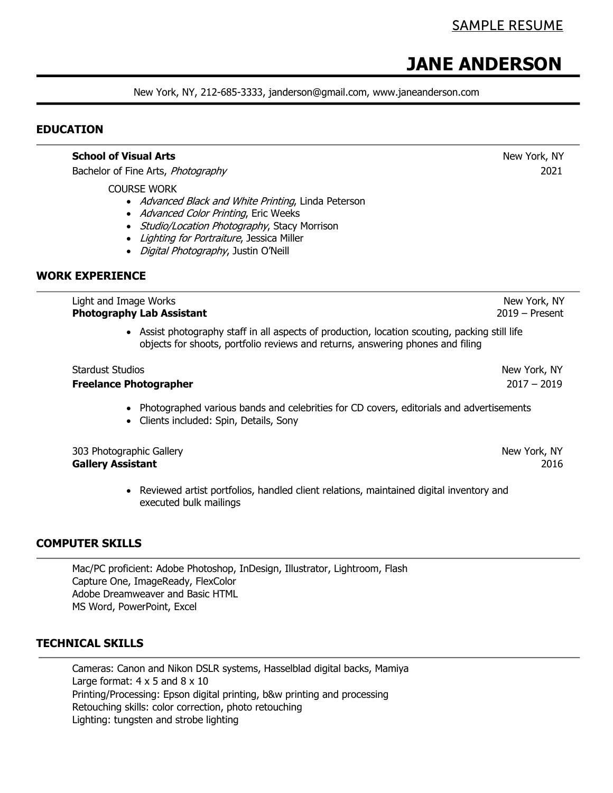# **JANE ANDERSON**

New York, NY, 212-685-3333, janderson@gmail.com, www.janeanderson.com

#### **EDUCATION**

|                          | <b>School of Visual Arts</b>                                                                                                                                                                                                                                      | New York, NY                     |
|--------------------------|-------------------------------------------------------------------------------------------------------------------------------------------------------------------------------------------------------------------------------------------------------------------|----------------------------------|
|                          | Bachelor of Fine Arts, Photography                                                                                                                                                                                                                                | 2021                             |
|                          | <b>COURSE WORK</b><br>• Advanced Black and White Printing, Linda Peterson<br>Advanced Color Printing, Eric Weeks<br>$\bullet$<br>Studio/Location Photography, Stacy Morrison<br>Lighting for Portraiture, Jessica Miller<br>· Digital Photography, Justin O'Neill |                                  |
| <b>WORK EXPERIENCE</b>   |                                                                                                                                                                                                                                                                   |                                  |
|                          | Light and Image Works<br><b>Photography Lab Assistant</b>                                                                                                                                                                                                         | New York, NY<br>$2019 -$ Present |
|                          | • Assist photography staff in all aspects of production, location scouting, packing still life<br>objects for shoots, portfolio reviews and returns, answering phones and filing                                                                                  |                                  |
| <b>Stardust Studios</b>  |                                                                                                                                                                                                                                                                   | New York, NY                     |
|                          | <b>Freelance Photographer</b>                                                                                                                                                                                                                                     | $2017 - 2019$                    |
|                          | Photographed various bands and celebrities for CD covers, editorials and advertisements<br>Clients included: Spin, Details, Sony                                                                                                                                  |                                  |
| <b>Gallery Assistant</b> | 303 Photographic Gallery                                                                                                                                                                                                                                          | New York, NY<br>2016             |
|                          | Reviewed artist portfolios, handled client relations, maintained digital inventory and<br>executed bulk mailings                                                                                                                                                  |                                  |

#### **COMPUTER SKILLS**

Mac/PC proficient: Adobe Photoshop, InDesign, Illustrator, Lightroom, Flash Capture One, ImageReady, FlexColor Adobe Dreamweaver and Basic HTML MS Word, PowerPoint, Excel

#### **TECHNICAL SKILLS**

Cameras: Canon and Nikon DSLR systems, Hasselblad digital backs, Mamiya Large format:  $4 \times 5$  and  $8 \times 10$ Printing/Processing: Epson digital printing, b&w printing and processing Retouching skills: color correction, photo retouching Lighting: tungsten and strobe lighting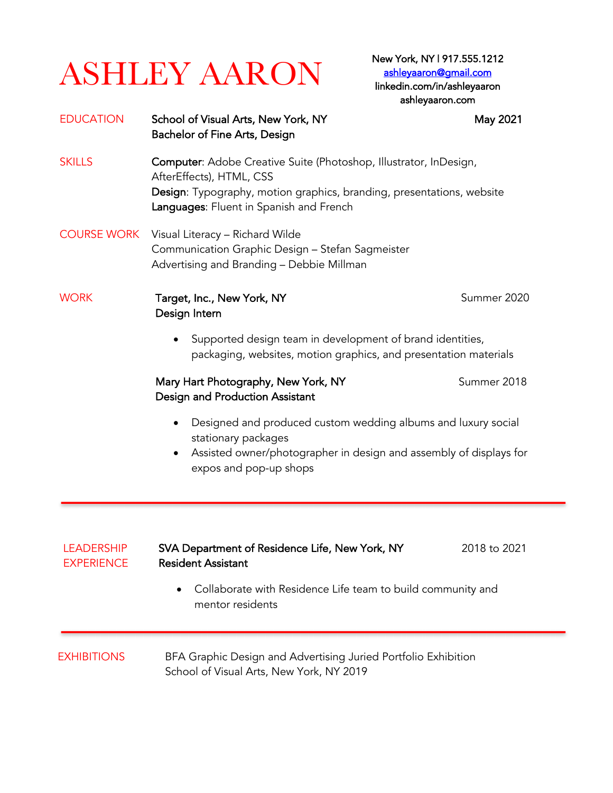# $\overline{\text{ASHLEY AARON}}^{\text{New York, NY1917.555.1212}}$ New York, NY | 917.555.1212

ashleyaaron@gmail.com linkedin.com/in/ashleyaaron ashleyaaron.com

| <b>EDUCATION</b>   | School of Visual Arts, New York, NY<br>Bachelor of Fine Arts, Design                                                                                                                                              | May 2021     |
|--------------------|-------------------------------------------------------------------------------------------------------------------------------------------------------------------------------------------------------------------|--------------|
| <b>SKILLS</b>      | Computer: Adobe Creative Suite (Photoshop, Illustrator, InDesign,<br>AfterEffects), HTML, CSS<br>Design: Typography, motion graphics, branding, presentations, website<br>Languages: Fluent in Spanish and French |              |
| <b>COURSE WORK</b> | Visual Literacy - Richard Wilde<br>Communication Graphic Design - Stefan Sagmeister<br>Advertising and Branding - Debbie Millman                                                                                  |              |
| <b>WORK</b>        | Target, Inc., New York, NY<br>Design Intern                                                                                                                                                                       | Summer 2020  |
|                    | Supported design team in development of brand identities,<br>$\bullet$<br>packaging, websites, motion graphics, and presentation materials                                                                        |              |
|                    | Mary Hart Photography, New York, NY<br>Design and Production Assistant                                                                                                                                            | Summer 2018  |
|                    | Designed and produced custom wedding albums and luxury social<br>stationary packages<br>Assisted owner/photographer in design and assembly of displays for<br>expos and pop-up shops                              |              |
| <b>LEADERSHIP</b>  | SVA Department of Residence Life, New York, NY                                                                                                                                                                    | 2018 to 2021 |
| <b>EXPERIENCE</b>  | <b>Resident Assistant</b><br>Collaborate with Residence Life team to build community and<br>mentor residents                                                                                                      |              |
| <b>EXHIBITIONS</b> | BFA Graphic Design and Advertising Juried Portfolio Exhibition<br>School of Visual Arts, New York, NY 2019                                                                                                        |              |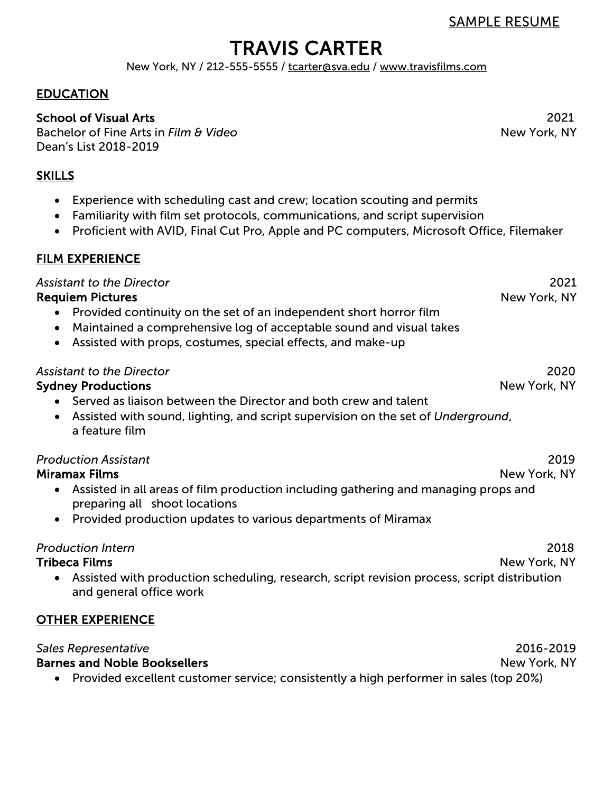TRAVIS CARTER New York, NY / 212-555-5555 / tcarter@sva.edu / www.travisfilms.com

#### EDUCATION

#### School of Visual Arts 2021

Bachelor of Fine Arts in *Film & Video* Dean's List 2018-2019

#### **SKILLS**

- Experience with scheduling cast and crew; location scouting and permits
- Familiarity with film set protocols, communications, and script supervision
- Proficient with AVID, Final Cut Pro, Apple and PC computers, Microsoft Office, Filemaker

#### FILM EXPERIENCE

*Assistant to the Director*

Requiem Pictures

- Provided continuity on the set of an independent short horror film
- Maintained a comprehensive log of acceptable sound and visual takes
- Assisted with props, costumes, special effects, and make-up

#### *Assistant to the Director* 2020

#### Sydney Productions New York, NY

- Served as liaison between the Director and both crew and talent
- Assisted with sound, lighting, and script supervision on the set of *Underground*, a feature film

#### *Production Assistant* 2019

#### Miramax Films New York, NY

- Assisted in all areas of film production including gathering and managing props and preparing all shoot locations
- Provided production updates to various departments of Miramax

#### *Production Intern* 2018

#### Tribeca Films New York, NY

• Assisted with production scheduling, research, script revision process, script distribution and general office work

#### OTHER EXPERIENCE

#### *Sales Representative*  Barnes and Noble Booksellers 2016-2019 **New York, NY**

• Provided excellent customer service; consistently a high performer in sales (top 20%)

**New York, NY** 

2021

New York, NY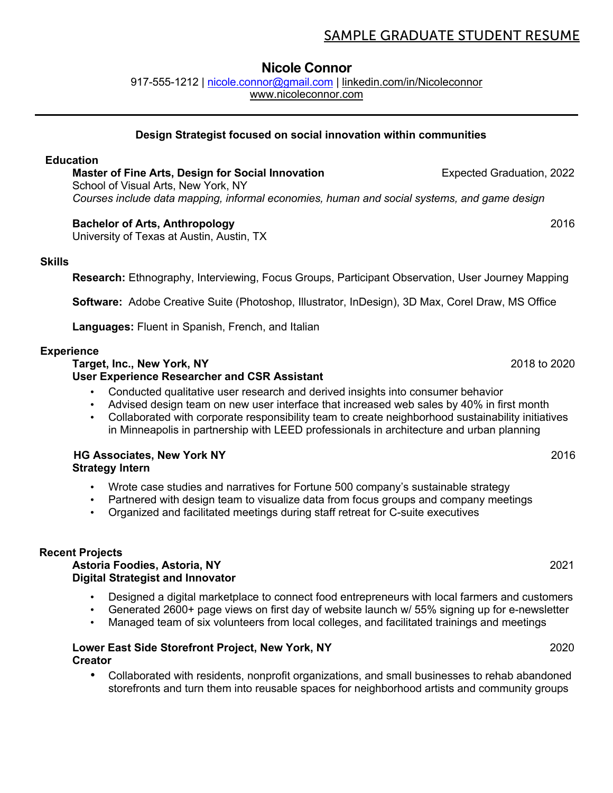#### SAMPLE GRADUATE STUDENT RESUME

#### **Nicole Connor**

917-555-1212 | nicole.connor@gmail.com | linkedin.com/in/Nicoleconnor www.nicoleconnor.com

#### **Design Strategist focused on social innovation within communities**

#### **Education**

**Master of Fine Arts, Design for Social Innovation <b>Expected Graduation, 2022** School of Visual Arts, New York, NY *Courses include data mapping, informal economies, human and social systems, and game design*

#### **Bachelor of Arts, Anthropology** 2016

University of Texas at Austin, Austin, TX

#### **Skills**

**Research:** Ethnography, Interviewing, Focus Groups, Participant Observation, User Journey Mapping

**Software:** Adobe Creative Suite (Photoshop, Illustrator, InDesign), 3D Max, Corel Draw, MS Office

**Languages:** Fluent in Spanish, French, and Italian

#### **Experience**

#### **Target, Inc., New York, NY** 2018 to 2020 **User Experience Researcher and CSR Assistant**

- Conducted qualitative user research and derived insights into consumer behavior
- Advised design team on new user interface that increased web sales by 40% in first month
- Collaborated with corporate responsibility team to create neighborhood sustainability initiatives in Minneapolis in partnership with LEED professionals in architecture and urban planning

#### **HG Associates, New York NY** 2016 **Strategy Intern**

- Wrote case studies and narratives for Fortune 500 company's sustainable strategy
- Partnered with design team to visualize data from focus groups and company meetings
- Organized and facilitated meetings during staff retreat for C-suite executives

#### **Recent Projects**

#### **Astoria Foodies, Astoria, NY** 2021 **Digital Strategist and Innovator**

- Designed a digital marketplace to connect food entrepreneurs with local farmers and customers
- Generated 2600+ page views on first day of website launch w/ 55% signing up for e-newsletter
- Managed team of six volunteers from local colleges, and facilitated trainings and meetings

#### **Lower East Side Storefront Project, New York, NY** 2020 **Creator**

• Collaborated with residents, nonprofit organizations, and small businesses to rehab abandoned storefronts and turn them into reusable spaces for neighborhood artists and community groups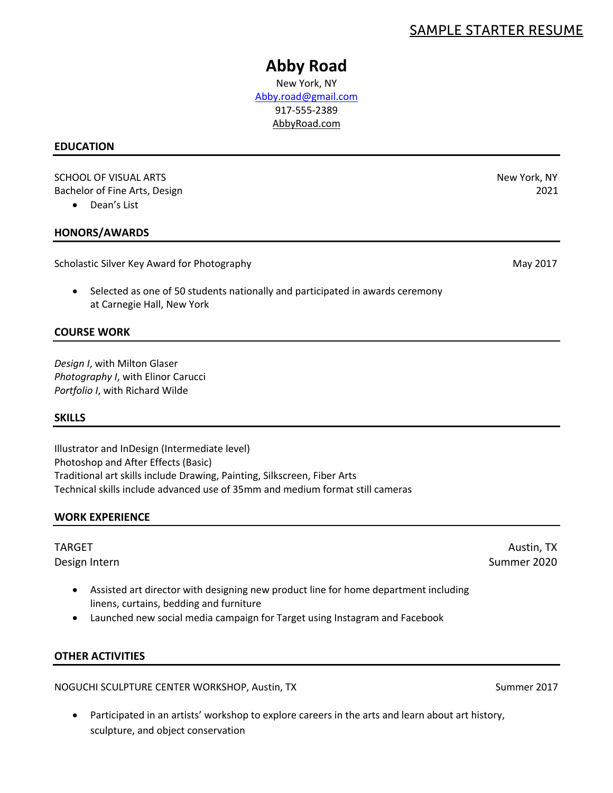#### SAMPLE STARTER RESUME

# **Abby Road**

New York, NY Abby.road@gmail.com 917-555-2389 AbbyRoad.com

#### **EDUCATION**

SCHOOL OF VISUAL ARTS New York, NY Bachelor of Fine Arts, Design 2021

• Dean's List

#### **HONORS/AWARDS**

Scholastic Silver Key Award for Photography May 2017

• Selected as one of 50 students nationally and participated in awards ceremony at Carnegie Hall, New York

#### **COURSE WORK**

*Design I*, with Milton Glaser *Photography I*, with Elinor Carucci *Portfolio I*, with Richard Wilde

#### **SKILLS**

Illustrator and InDesign (Intermediate level) Photoshop and After Effects (Basic) Traditional art skills include Drawing, Painting, Silkscreen, Fiber Arts Technical skills include advanced use of 35mm and medium format still cameras

#### **WORK EXPERIENCE**

- Assisted art director with designing new product line for home department including linens, curtains, bedding and furniture
- Launched new social media campaign for Target using Instagram and Facebook

#### **OTHER ACTIVITIES**

NOGUCHI SCULPTURE CENTER WORKSHOP, Austin, TX Summer 2017

Participated in an artists' workshop to explore careers in the arts and learn about art history, sculpture, and object conservation

TARGET Austin, TX Design Intern Summer 2020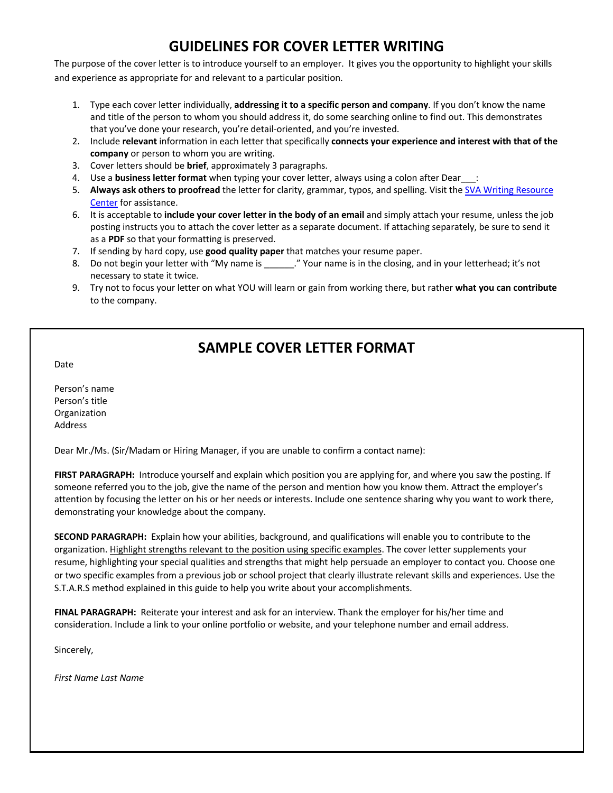# **GUIDELINES FOR COVER LETTER WRITING**

The purpose of the cover letter is to introduce yourself to an employer. It gives you the opportunity to highlight your skills and experience as appropriate for and relevant to a particular position.

- 1. Type each cover letter individually, **addressing it to a specific person and company**. If you don't know the name and title of the person to whom you should address it, do some searching online to find out. This demonstrates that you've done your research, you're detail-oriented, and you're invested.
- 2. Include **relevant** information in each letter that specifically **connects your experience and interest with that of the company** or person to whom you are writing.
- 3. Cover letters should be **brief**, approximately 3 paragraphs.
- 4. Use a **business letter format** when typing your cover letter, always using a colon after Dear\_\_\_:
- 5. **Always ask others to proofread** the letter for clarity, grammar, typos, and spelling. Visit the SVA Writing Resource Center for assistance.
- 6. It is acceptable to **include your cover letter in the body of an email** and simply attach your resume, unless the job posting instructs you to attach the cover letter as a separate document. If attaching separately, be sure to send it as a **PDF** so that your formatting is preserved.
- 7. If sending by hard copy, use **good quality paper** that matches your resume paper.
- 8. Do not begin your letter with "My name is \_\_\_\_\_\_." Your name is in the closing, and in your letterhead; it's not necessary to state it twice.
- 9. Try not to focus your letter on what YOU will learn or gain from working there, but rather **what you can contribute** to the company.

## **SAMPLE COVER LETTER FORMAT**

Date

Person's name Person's title **Organization** Address

Dear Mr./Ms. (Sir/Madam or Hiring Manager, if you are unable to confirm a contact name):

**FIRST PARAGRAPH:** Introduce yourself and explain which position you are applying for, and where you saw the posting. If someone referred you to the job, give the name of the person and mention how you know them. Attract the employer's attention by focusing the letter on his or her needs or interests. Include one sentence sharing why you want to work there, demonstrating your knowledge about the company.

**SECOND PARAGRAPH:** Explain how your abilities, background, and qualifications will enable you to contribute to the organization. Highlight strengths relevant to the position using specific examples. The cover letter supplements your resume, highlighting your special qualities and strengths that might help persuade an employer to contact you. Choose one or two specific examples from a previous job or school project that clearly illustrate relevant skills and experiences. Use the S.T.A.R.S method explained in this guide to help you write about your accomplishments.

**FINAL PARAGRAPH:** Reiterate your interest and ask for an interview. Thank the employer for his/her time and consideration. Include a link to your online portfolio or website, and your telephone number and email address.

Sincerely,

*First Name Last Name*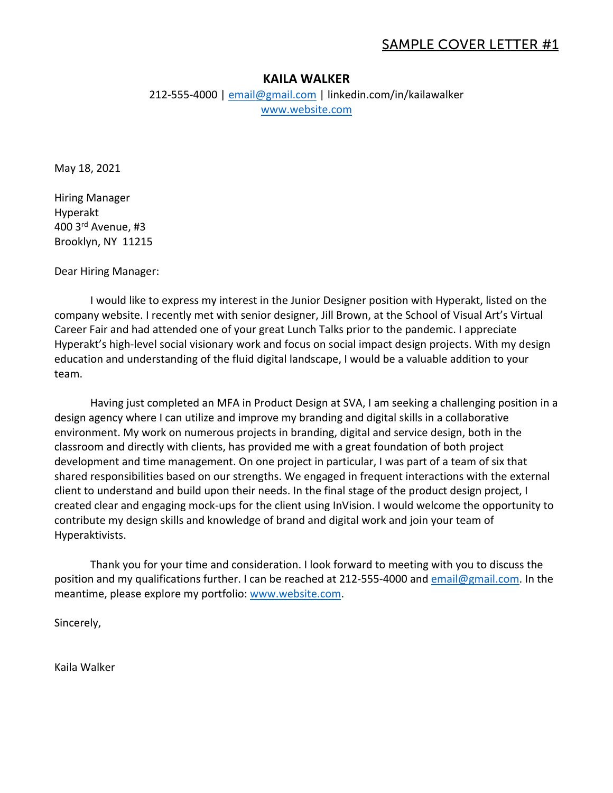#### SAMPLE COVER LETTER #1

#### **KAILA WALKER**

212-555-4000 | email@gmail.com | linkedin.com/in/kailawalker www.website.com

May 18, 2021

Hiring Manager Hyperakt 400 3rd Avenue, #3 Brooklyn, NY 11215

Dear Hiring Manager:

I would like to express my interest in the Junior Designer position with Hyperakt, listed on the company website. I recently met with senior designer, Jill Brown, at the School of Visual Art's Virtual Career Fair and had attended one of your great Lunch Talks prior to the pandemic. I appreciate Hyperakt's high-level social visionary work and focus on social impact design projects. With my design education and understanding of the fluid digital landscape, I would be a valuable addition to your team.

Having just completed an MFA in Product Design at SVA, I am seeking a challenging position in a design agency where I can utilize and improve my branding and digital skills in a collaborative environment. My work on numerous projects in branding, digital and service design, both in the classroom and directly with clients, has provided me with a great foundation of both project development and time management. On one project in particular, I was part of a team of six that shared responsibilities based on our strengths. We engaged in frequent interactions with the external client to understand and build upon their needs. In the final stage of the product design project, I created clear and engaging mock-ups for the client using InVision. I would welcome the opportunity to contribute my design skills and knowledge of brand and digital work and join your team of Hyperaktivists.

Thank you for your time and consideration. I look forward to meeting with you to discuss the position and my qualifications further. I can be reached at 212-555-4000 and email@gmail.com. In the meantime, please explore my portfolio: www.website.com.

Sincerely,

Kaila Walker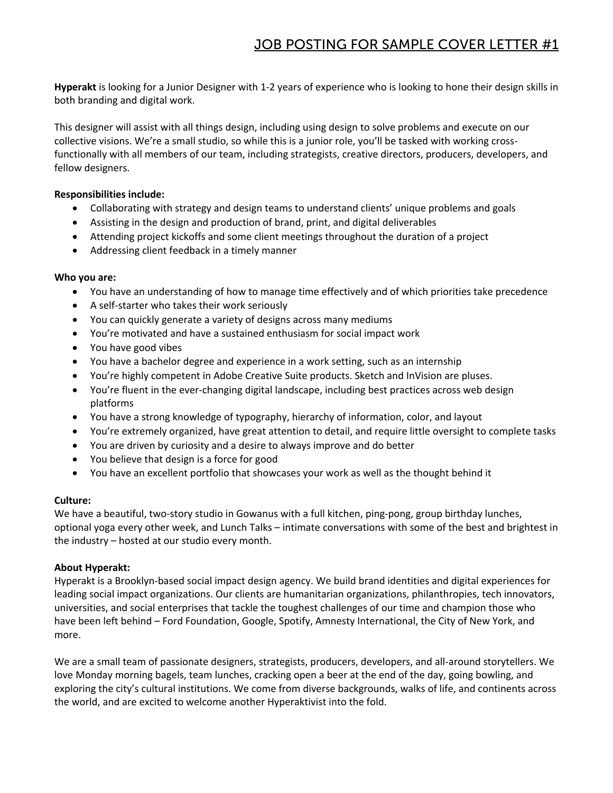**Hyperakt** is looking for a Junior Designer with 1-2 years of experience who is looking to hone their design skills in both branding and digital work.

This designer will assist with all things design, including using design to solve problems and execute on our collective visions. We're a small studio, so while this is a junior role, you'll be tasked with working crossfunctionally with all members of our team, including strategists, creative directors, producers, developers, and fellow designers.

#### **Responsibilities include:**

- Collaborating with strategy and design teams to understand clients' unique problems and goals
- Assisting in the design and production of brand, print, and digital deliverables
- Attending project kickoffs and some client meetings throughout the duration of a project
- Addressing client feedback in a timely manner

#### **Who you are:**

- You have an understanding of how to manage time effectively and of which priorities take precedence
- A self-starter who takes their work seriously
- You can quickly generate a variety of designs across many mediums
- You're motivated and have a sustained enthusiasm for social impact work
- You have good vibes
- You have a bachelor degree and experience in a work setting, such as an internship
- You're highly competent in Adobe Creative Suite products. Sketch and InVision are pluses.
- You're fluent in the ever-changing digital landscape, including best practices across web design platforms
- You have a strong knowledge of typography, hierarchy of information, color, and layout
- You're extremely organized, have great attention to detail, and require little oversight to complete tasks
- You are driven by curiosity and a desire to always improve and do better
- You believe that design is a force for good
- You have an excellent portfolio that showcases your work as well as the thought behind it

#### **Culture:**

We have a beautiful, two-story studio in Gowanus with a full kitchen, ping-pong, group birthday lunches, optional yoga every other week, and Lunch Talks – intimate conversations with some of the best and brightest in the industry – hosted at our studio every month.

#### **About Hyperakt:**

Hyperakt is a Brooklyn-based social impact design agency. We build brand identities and digital experiences for leading social impact organizations. Our clients are humanitarian organizations, philanthropies, tech innovators, universities, and social enterprises that tackle the toughest challenges of our time and champion those who have been left behind – Ford Foundation, Google, Spotify, Amnesty International, the City of New York, and more.

We are a small team of passionate designers, strategists, producers, developers, and all-around storytellers. We love Monday morning bagels, team lunches, cracking open a beer at the end of the day, going bowling, and exploring the city's cultural institutions. We come from diverse backgrounds, walks of life, and continents across the world, and are excited to welcome another Hyperaktivist into the fold.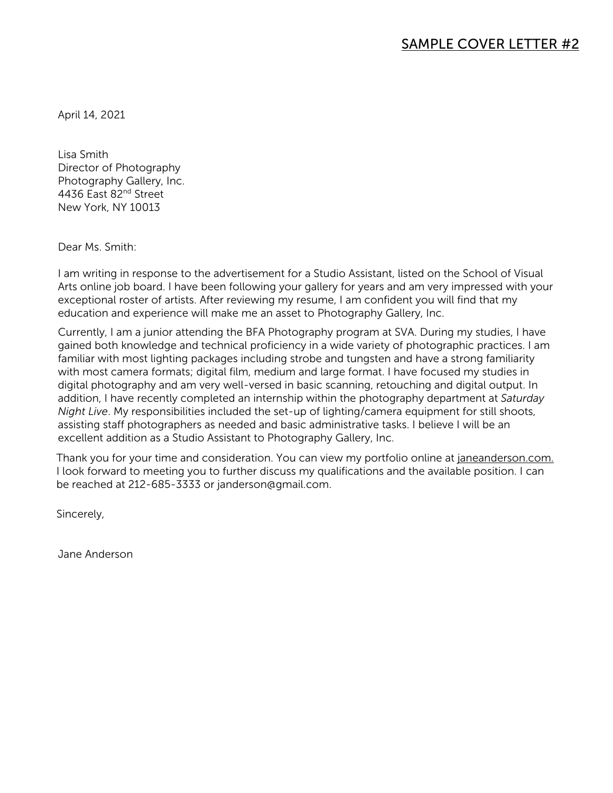April 14, 2021

Lisa Smith Director of Photography Photography Gallery, Inc. 4436 East 82nd Street New York, NY 10013

Dear Ms. Smith:

I am writing in response to the advertisement for a Studio Assistant, listed on the School of Visual Arts online job board. I have been following your gallery for years and am very impressed with your exceptional roster of artists. After reviewing my resume, I am confident you will find that my education and experience will make me an asset to Photography Gallery, Inc.

Currently, I am a junior attending the BFA Photography program at SVA. During my studies, I have gained both knowledge and technical proficiency in a wide variety of photographic practices. I am familiar with most lighting packages including strobe and tungsten and have a strong familiarity with most camera formats; digital film, medium and large format. I have focused my studies in digital photography and am very well-versed in basic scanning, retouching and digital output. In addition, I have recently completed an internship within the photography department at *Saturday Night Live*. My responsibilities included the set-up of lighting/camera equipment for still shoots, assisting staff photographers as needed and basic administrative tasks. I believe I will be an excellent addition as a Studio Assistant to Photography Gallery, Inc.

Thank you for your time and consideration. You can view my portfolio online at janeanderson.com. I look forward to meeting you to further discuss my qualifications and the available position. I can be reached at 212-685-3333 or janderson@gmail.com.

Sincerely,

Jane Anderson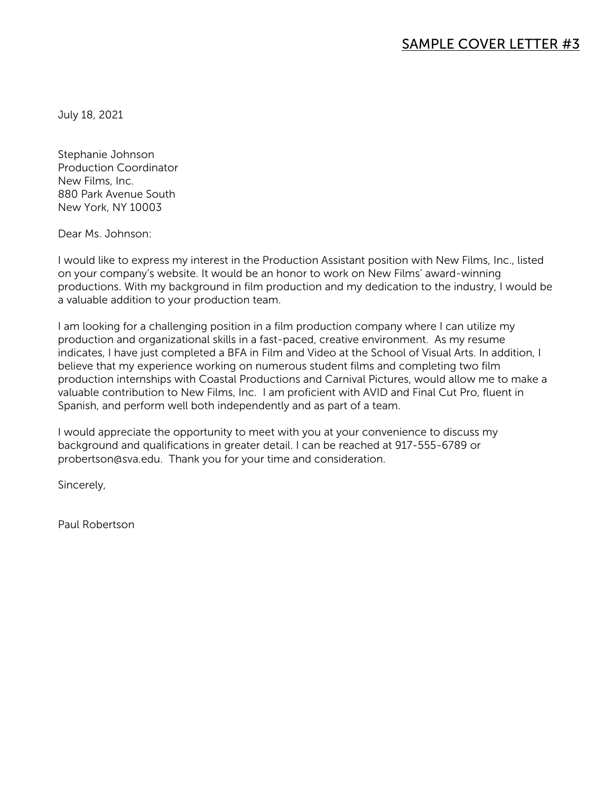July 18, 2021

Stephanie Johnson Production Coordinator New Films, Inc. 880 Park Avenue South New York, NY 10003

Dear Ms. Johnson:

I would like to express my interest in the Production Assistant position with New Films, Inc., listed on your company's website. It would be an honor to work on New Films' award-winning productions. With my background in film production and my dedication to the industry, I would be a valuable addition to your production team.

I am looking for a challenging position in a film production company where I can utilize my production and organizational skills in a fast-paced, creative environment. As my resume indicates, I have just completed a BFA in Film and Video at the School of Visual Arts. In addition, I believe that my experience working on numerous student films and completing two film production internships with Coastal Productions and Carnival Pictures, would allow me to make a valuable contribution to New Films, Inc. I am proficient with AVID and Final Cut Pro, fluent in Spanish, and perform well both independently and as part of a team.

I would appreciate the opportunity to meet with you at your convenience to discuss my background and qualifications in greater detail. I can be reached at 917-555-6789 or probertson@sva.edu. Thank you for your time and consideration.

Sincerely,

Paul Robertson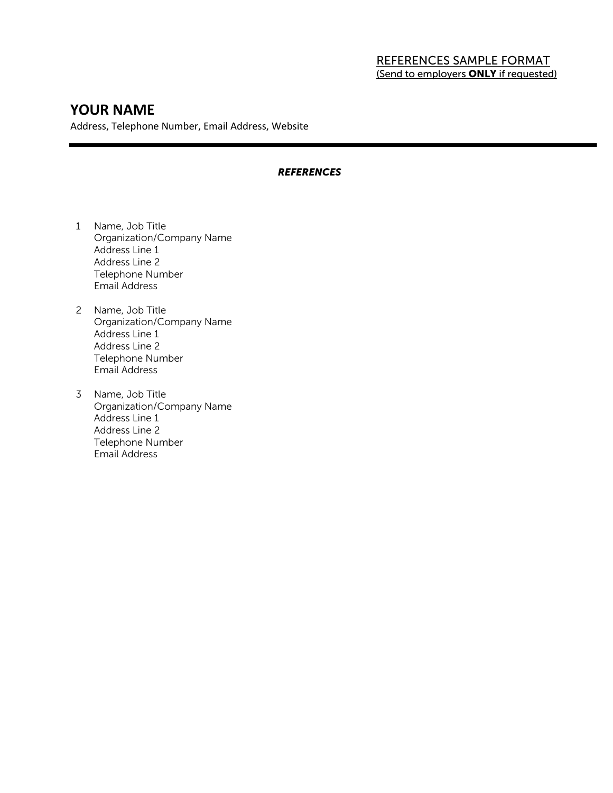#### REFERENCES SAMPLE FORMAT (Send to employers **ONLY** if requested)

#### **YOUR NAME**

Address, Telephone Number, Email Address, Website

#### *REFERENCES*

- 1 Name, Job Title Organization/Company Name Address Line 1 Address Line 2 Telephone Number Email Address
- 2 Name, Job Title Organization/Company Name Address Line 1 Address Line 2 Telephone Number Email Address
- 3 Name, Job Title Organization/Company Name Address Line 1 Address Line 2 Telephone Number Email Address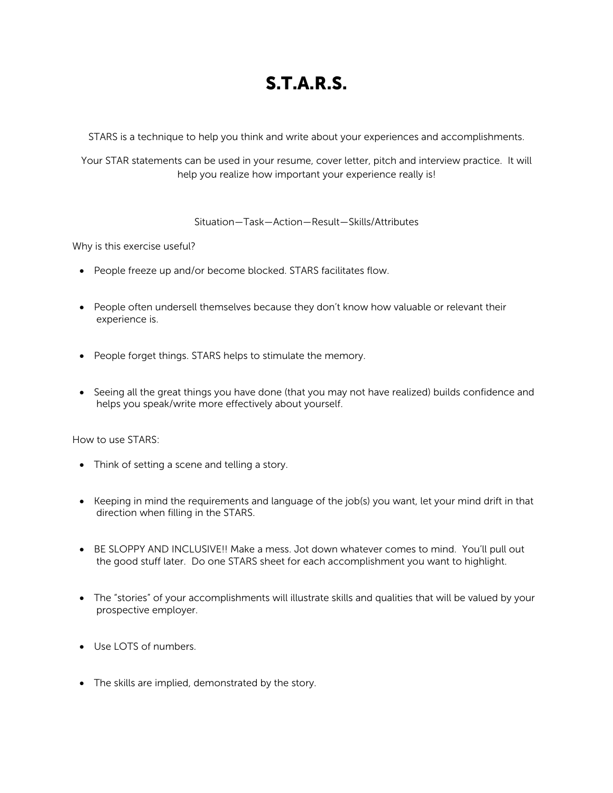# S.T.A.R.S.

STARS is a technique to help you think and write about your experiences and accomplishments.

Your STAR statements can be used in your resume, cover letter, pitch and interview practice. It will help you realize how important your experience really is!

#### Situation—Task—Action—Result—Skills/Attributes

Why is this exercise useful?

- People freeze up and/or become blocked. STARS facilitates flow.
- People often undersell themselves because they don't know how valuable or relevant their experience is.
- People forget things. STARS helps to stimulate the memory.
- Seeing all the great things you have done (that you may not have realized) builds confidence and helps you speak/write more effectively about yourself.

How to use STARS:

- Think of setting a scene and telling a story.
- Keeping in mind the requirements and language of the job(s) you want, let your mind drift in that direction when filling in the STARS.
- BE SLOPPY AND INCLUSIVE!! Make a mess. Jot down whatever comes to mind. You'll pull out the good stuff later. Do one STARS sheet for each accomplishment you want to highlight.
- The "stories" of your accomplishments will illustrate skills and qualities that will be valued by your prospective employer.
- Use LOTS of numbers.
- The skills are implied, demonstrated by the story.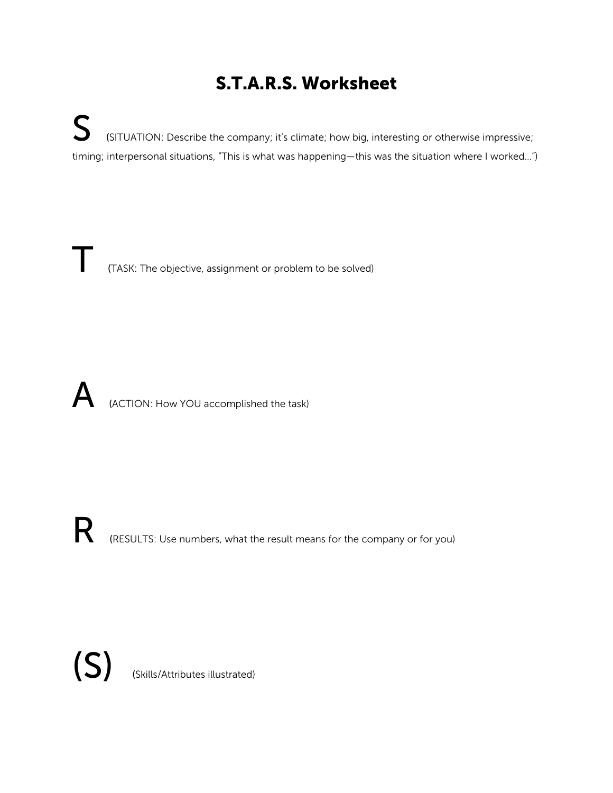# S.T.A.R.S. Worksheet

S (SITUATION: Describe the company; it's climate; how big, interesting or otherwise impressive; timing; interpersonal situations, "This is what was happening—this was the situation where I worked...")

T (TASK: The objective, assignment or problem to be solved)

A (ACTION: How YOU accomplished the task)

R (RESULTS: Use numbers, what the result means for the company or for you)

(S) (Skills/Attributes illustrated)